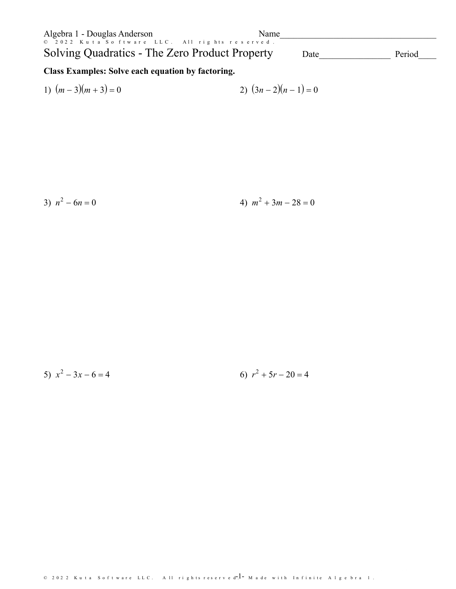| Algebra 1 - Douglas Anderson                                                                     | Name |        |
|--------------------------------------------------------------------------------------------------|------|--------|
| © 2022 Kuta Software LLC. All rights reserved.<br>Solving Quadratics - The Zero Product Property | Date | Period |
| Class Examples, Calve each constion by factoring                                                 |      |        |

## Class Examples: Solve each equation by factoring.

1) 
$$
(m-3)(m+3) = 0
$$
  
2)  $(3n-2)(n-1) = 0$ 

3)  $n^2 - 6n = 0$ 

4)  $m^2 + 3m - 28 = 0$ 

5)  $x^2 - 3x - 6 = 4$ 6)  $r^2 + 5r - 20 = 4$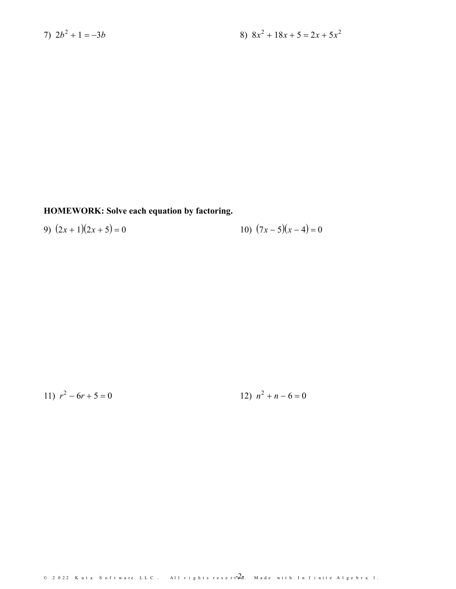HOMEWORK: Solve each equation by factoring.

10)  $(7x-5)(x-4) = 0$ 9)  $(2x+1)(2x+5) = 0$ 

11)  $r^2 - 6r + 5 = 0$ 

12)  $n^2 + n - 6 = 0$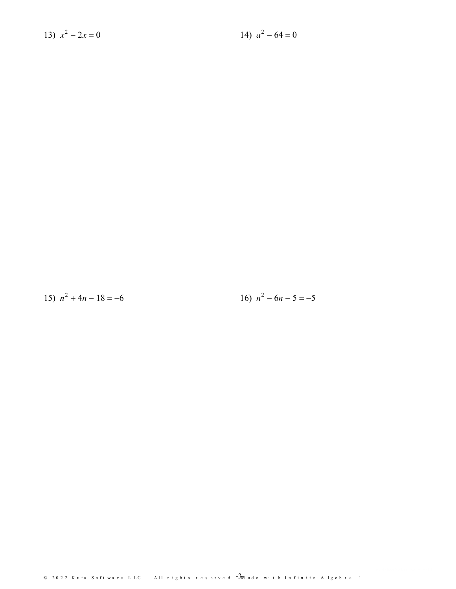13) 
$$
x^2 - 2x = 0
$$

14)  $a^2 - 64 = 0$ 

15)  $n^2 + 4n - 18 = -6$ 

16)  $n^2 - 6n - 5 = -5$